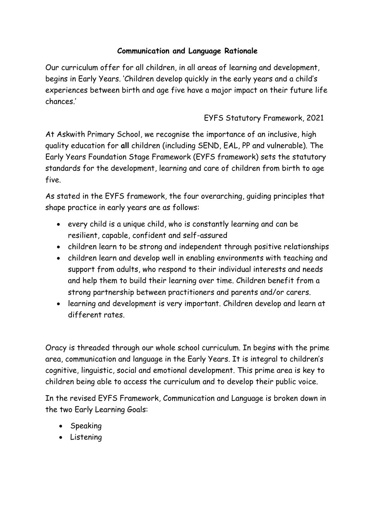# **Communication and Language Rationale**

Our curriculum offer for all children, in all areas of learning and development, begins in Early Years. 'Children develop quickly in the early years and a child's experiences between birth and age five have a major impact on their future life chances.'

# EYFS Statutory Framework, 2021

At Askwith Primary School, we recognise the importance of an inclusive, high quality education for **all** children (including SEND, EAL, PP and vulnerable). The Early Years Foundation Stage Framework (EYFS framework) sets the statutory standards for the development, learning and care of children from birth to age five.

As stated in the EYFS framework, the four overarching, guiding principles that shape practice in early years are as follows:

- every child is a unique child, who is constantly learning and can be resilient, capable, confident and self-assured
- children learn to be strong and independent through positive relationships
- children learn and develop well in enabling environments with teaching and support from adults, who respond to their individual interests and needs and help them to build their learning over time. Children benefit from a strong partnership between practitioners and parents and/or carers.
- learning and development is very important. Children develop and learn at different rates.

Oracy is threaded through our whole school curriculum. In begins with the prime area, communication and language in the Early Years. It is integral to children's cognitive, linguistic, social and emotional development. This prime area is key to children being able to access the curriculum and to develop their public voice.

In the revised EYFS Framework, Communication and Language is broken down in the two Early Learning Goals:

- Speaking
- Listening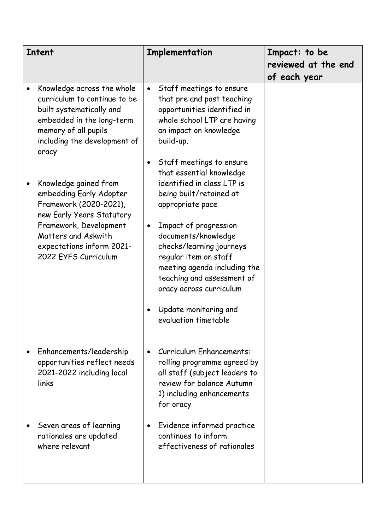| <b>Intent</b> |                                                                                                                                                                                                               | Implementation |                                                                                                                                                                                                                                                                                                                                                          | Impact: to be       |
|---------------|---------------------------------------------------------------------------------------------------------------------------------------------------------------------------------------------------------------|----------------|----------------------------------------------------------------------------------------------------------------------------------------------------------------------------------------------------------------------------------------------------------------------------------------------------------------------------------------------------------|---------------------|
|               |                                                                                                                                                                                                               |                |                                                                                                                                                                                                                                                                                                                                                          | reviewed at the end |
|               |                                                                                                                                                                                                               |                |                                                                                                                                                                                                                                                                                                                                                          | of each year        |
|               | Knowledge across the whole<br>curriculum to continue to be<br>built systematically and<br>embedded in the long-term<br>memory of all pupils<br>including the development of<br>oracy                          | $\bullet$      | Staff meetings to ensure<br>that pre and post teaching<br>opportunities identified in<br>whole school LTP are having<br>an impact on knowledge<br>build-up.                                                                                                                                                                                              |                     |
|               | Knowledge gained from<br>embedding Early Adopter<br>Framework (2020-2021),<br>new Early Years Statutory<br>Framework, Development<br>Matters and Askwith<br>expectations inform 2021-<br>2022 EYFS Curriculum | $\bullet$      | Staff meetings to ensure<br>that essential knowledge<br>identified in class LTP is<br>being built/retained at<br>appropriate pace<br>Impact of progression<br>documents/knowledge<br>checks/learning journeys<br>regular item on staff<br>meeting agenda including the<br>teaching and assessment of<br>oracy across curriculum<br>Update monitoring and |                     |
|               | Enhancements/leadership<br>opportunities reflect needs<br>2021-2022 including local<br>links<br>Seven areas of learning<br>rationales are updated<br>where relevant                                           |                | evaluation timetable<br>Curriculum Enhancements:<br>rolling programme agreed by<br>all staff (subject leaders to<br>review for balance Autumn<br>1) including enhancements<br>for oracy<br>Evidence informed practice<br>continues to inform                                                                                                             |                     |
|               |                                                                                                                                                                                                               |                | effectiveness of rationales                                                                                                                                                                                                                                                                                                                              |                     |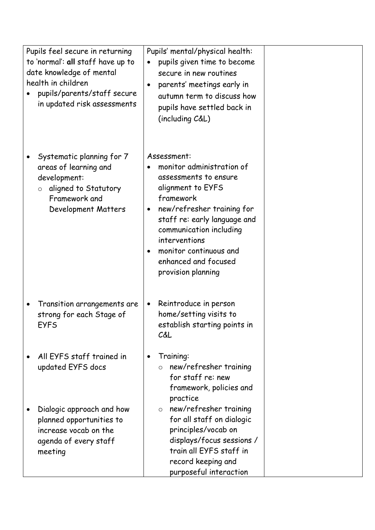| Pupils feel secure in returning<br>to 'normal': all staff have up to<br>date knowledge of mental<br>health in children<br>pupils/parents/staff secure<br>in updated risk assessments |   | Pupils' mental/physical health:<br>pupils given time to become<br>secure in new routines<br>parents' meetings early in<br>autumn term to discuss how<br>pupils have settled back in<br>(including C&L)                                                                                |  |
|--------------------------------------------------------------------------------------------------------------------------------------------------------------------------------------|---|---------------------------------------------------------------------------------------------------------------------------------------------------------------------------------------------------------------------------------------------------------------------------------------|--|
| Systematic planning for 7<br>areas of learning and<br>development:<br>aligned to Statutory<br>$\circ$<br>Framework and<br>Development Matters                                        |   | Assessment:<br>monitor administration of<br>assessments to ensure<br>alignment to EYFS<br>framework<br>new/refresher training for<br>staff re: early language and<br>communication including<br>interventions<br>monitor continuous and<br>enhanced and focused<br>provision planning |  |
| Transition arrangements are<br>strong for each Stage of<br>EYFS                                                                                                                      | ٠ | Reintroduce in person<br>home/setting visits to<br>establish starting points in<br>C&L                                                                                                                                                                                                |  |
| All EYFS staff trained in<br>updated EYFS docs                                                                                                                                       |   | Training:<br>new/refresher training<br>for staff re: new<br>framework, policies and<br>practice                                                                                                                                                                                       |  |
| Dialogic approach and how<br>planned opportunities to<br>increase vocab on the<br>agenda of every staff<br>meeting                                                                   |   | new/refresher training<br>$\circ$<br>for all staff on dialogic<br>principles/vocab on<br>displays/focus sessions /<br>train all EYFS staff in<br>record keeping and<br>purposeful interaction                                                                                         |  |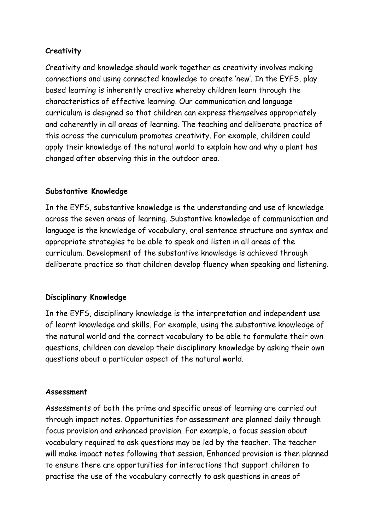# **Creativity**

Creativity and knowledge should work together as creativity involves making connections and using connected knowledge to create 'new'. In the EYFS, play based learning is inherently creative whereby children learn through the characteristics of effective learning. Our communication and language curriculum is designed so that children can express themselves appropriately and coherently in all areas of learning. The teaching and deliberate practice of this across the curriculum promotes creativity. For example, children could apply their knowledge of the natural world to explain how and why a plant has changed after observing this in the outdoor area.

### **Substantive Knowledge**

In the EYFS, substantive knowledge is the understanding and use of knowledge across the seven areas of learning. Substantive knowledge of communication and language is the knowledge of vocabulary, oral sentence structure and syntax and appropriate strategies to be able to speak and listen in all areas of the curriculum. Development of the substantive knowledge is achieved through deliberate practice so that children develop fluency when speaking and listening.

### **Disciplinary Knowledge**

In the EYFS, disciplinary knowledge is the interpretation and independent use of learnt knowledge and skills. For example, using the substantive knowledge of the natural world and the correct vocabulary to be able to formulate their own questions, children can develop their disciplinary knowledge by asking their own questions about a particular aspect of the natural world.

### **Assessment**

Assessments of both the prime and specific areas of learning are carried out through impact notes. Opportunities for assessment are planned daily through focus provision and enhanced provision. For example, a focus session about vocabulary required to ask questions may be led by the teacher. The teacher will make impact notes following that session. Enhanced provision is then planned to ensure there are opportunities for interactions that support children to practise the use of the vocabulary correctly to ask questions in areas of